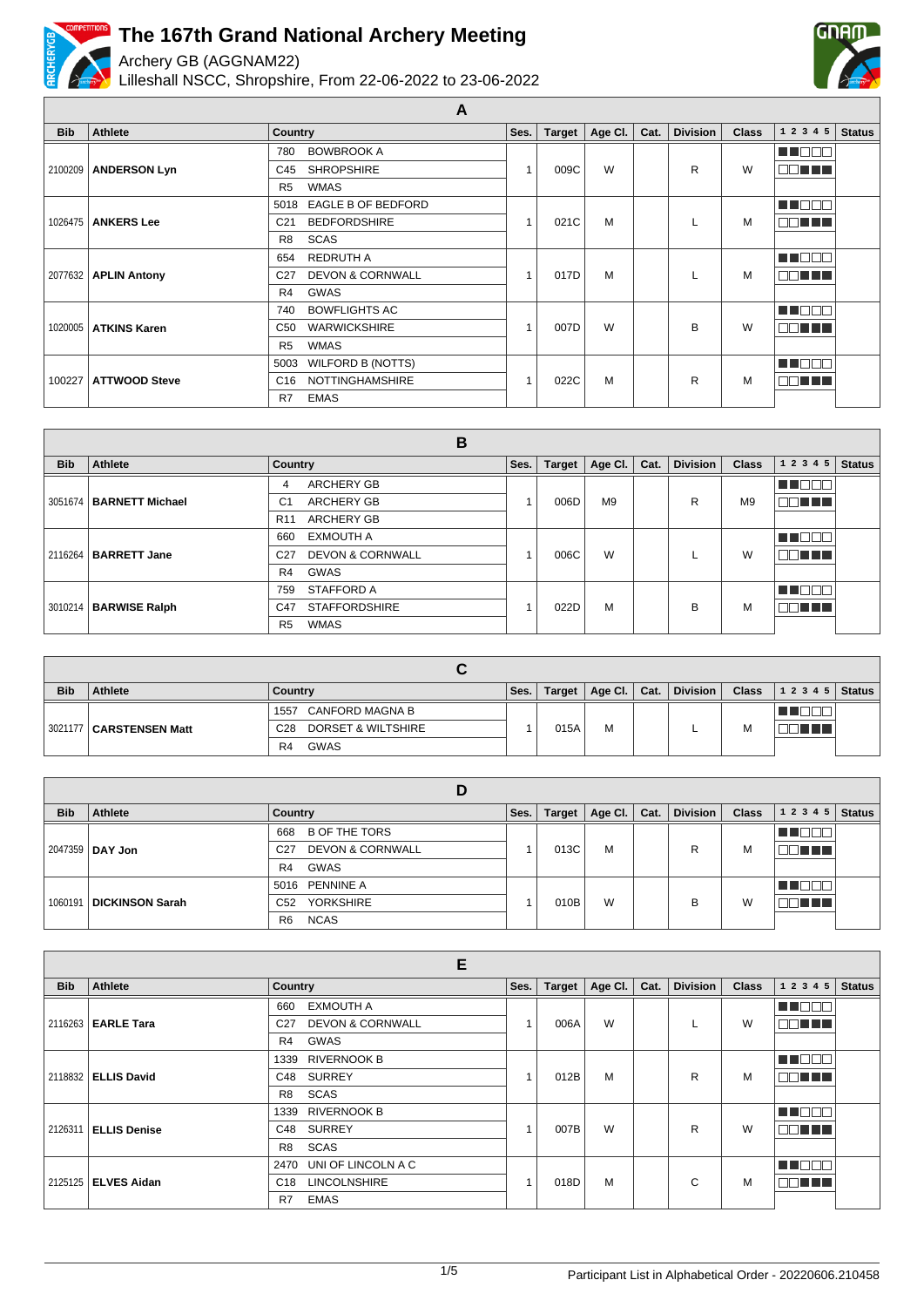

Archery GB (AGGNAM22)

Lilleshall NSCC, Shropshire, From 22-06-2022 to 23-06-2022



| <b>Bib</b> | <b>Athlete</b>       | <b>Country</b>                                 | Ses. | <b>Target</b> | Age Cl. | Cat. | <b>Division</b> | <b>Class</b> | 1 2 3 4 5 | <b>Status</b> |
|------------|----------------------|------------------------------------------------|------|---------------|---------|------|-----------------|--------------|-----------|---------------|
|            |                      | <b>BOWBROOK A</b><br>780                       |      |               |         |      |                 |              | MT E E E  |               |
| 2100209    | <b>ANDERSON Lyn</b>  | <b>SHROPSHIRE</b><br>C45                       |      | 009C          | W       |      | R               | W            | na mats   |               |
|            |                      | <b>WMAS</b><br>R <sub>5</sub>                  |      |               |         |      |                 |              |           |               |
|            |                      | 5018 EAGLE B OF BEDFORD                        |      |               |         |      |                 |              | HE E E E  |               |
| 1026475    | <b>ANKERS Lee</b>    | <b>BEDFORDSHIRE</b><br>C <sub>21</sub>         |      | 021C          | M       |      |                 | M            | TE ELE    |               |
|            |                      | <b>SCAS</b><br>R <sub>8</sub>                  |      |               |         |      |                 |              |           |               |
|            |                      | <b>REDRUTH A</b><br>654                        |      |               |         |      |                 |              | MT OO O   |               |
| 2077632    | <b>APLIN Antony</b>  | <b>DEVON &amp; CORNWALL</b><br>C <sub>27</sub> | 1    | 017D          | M       |      |                 | M            | N TILL T  |               |
|            |                      | <b>GWAS</b><br>R4                              |      |               |         |      |                 |              |           |               |
|            |                      | <b>BOWFLIGHTS AC</b><br>740                    |      |               |         |      |                 |              | M NO SI S |               |
| 1020005    | <b>ATKINS Karen</b>  | <b>WARWICKSHIRE</b><br>C50                     | 1    | 007D          | W       |      | B               | W            | aan n     |               |
|            |                      | <b>WMAS</b><br>R <sub>5</sub>                  |      |               |         |      |                 |              |           |               |
|            |                      | <b>WILFORD B (NOTTS)</b><br>5003               |      |               |         |      |                 |              | M BEI     |               |
| 100227     | <b>ATTWOOD Steve</b> | <b>NOTTINGHAMSHIRE</b><br>C <sub>16</sub>      |      | 022C          | M       |      | R               | M            | ma mata   |               |
|            |                      | <b>EMAS</b><br>R7                              |      |               |         |      |                 |              |           |               |

**A**

|            |                           | В                                              |      |        |                |      |                 |                |                           |               |
|------------|---------------------------|------------------------------------------------|------|--------|----------------|------|-----------------|----------------|---------------------------|---------------|
| <b>Bib</b> | Athlete                   | Country                                        | Ses. | Target | Age Cl.        | Cat. | <b>Division</b> | <b>Class</b>   | 1 2 3 4<br>5 <sup>5</sup> | <b>Status</b> |
|            |                           | <b>ARCHERY GB</b><br>4                         |      |        |                |      |                 |                | N N O O O                 |               |
|            | 3051674   BARNETT Michael | <b>ARCHERY GB</b><br>C <sub>1</sub>            |      | 006D   | M <sub>9</sub> |      | R               | M <sub>9</sub> | TE ELL                    |               |
|            |                           | <b>ARCHERY GB</b><br>R <sub>11</sub>           |      |        |                |      |                 |                |                           |               |
|            |                           | <b>EXMOUTH A</b><br>660                        |      |        |                |      |                 |                | n in Film                 |               |
|            | 2116264   BARRETT Jane    | <b>DEVON &amp; CORNWALL</b><br>C <sub>27</sub> |      | 006C   | W              |      |                 | W              | n din bin                 |               |
|            |                           | GWAS<br>R4                                     |      |        |                |      |                 |                |                           |               |
|            |                           | <b>STAFFORD A</b><br>759                       |      |        |                |      |                 |                | VEN DE                    |               |
|            | 3010214   BARWISE Ralph   | <b>STAFFORDSHIRE</b><br>C47                    |      | 022D   | M              |      | B               | M              | DE EL B                   |               |
|            |                           | <b>WMAS</b><br>R <sub>5</sub>                  |      |        |                |      |                 |                |                           |               |

| <b>Bib</b> | <b>Athlete</b>          | Country                               | Ses. | Target | Age Cl. | Cat. | <b>Division</b> | <b>Class</b> | 1 2 3 4 5 | <b>Status</b> |
|------------|-------------------------|---------------------------------------|------|--------|---------|------|-----------------|--------------|-----------|---------------|
|            |                         | CANFORD MAGNA B<br>1557               |      |        |         |      |                 |              |           |               |
|            | 3021177 CARSTENSEN Matt | DORSET & WILTSHIRE<br>C <sub>28</sub> |      | 015A   | М       |      |                 | М            | T T       |               |
|            |                         | <b>GWAS</b><br>R <sub>4</sub>         |      |        |         |      |                 |              |           |               |

|            |                           | ш                                              |      |               |         |      |                 |              |           |               |
|------------|---------------------------|------------------------------------------------|------|---------------|---------|------|-----------------|--------------|-----------|---------------|
| <b>Bib</b> | Athlete                   | Country                                        | Ses. | <b>Target</b> | Age Cl. | Cat. | <b>Division</b> | <b>Class</b> | 1 2 3 4 5 | <b>Status</b> |
|            |                           | <b>B OF THE TORS</b><br>668                    |      |               |         |      |                 |              |           |               |
|            | 2047359   DAY Jon         | <b>DEVON &amp; CORNWALL</b><br>C <sub>27</sub> |      | 013C          | M       |      | R               | M            | 1 N N N N |               |
|            |                           | GWAS<br>R4                                     |      |               |         |      |                 |              |           |               |
|            |                           | 5016 PENNINE A                                 |      |               |         |      |                 |              |           |               |
|            | 1060191   DICKINSON Sarah | <b>YORKSHIRE</b><br>C <sub>52</sub>            |      | 010B          | W       |      | в               | W            | 10 D D D  |               |
|            |                           | <b>NCAS</b><br>R <sub>6</sub>                  |      |               |         |      |                 |              |           |               |

|            |                        | Е                                              |      |               |         |      |                 |              |             |               |
|------------|------------------------|------------------------------------------------|------|---------------|---------|------|-----------------|--------------|-------------|---------------|
| <b>Bib</b> | Athlete                | <b>Country</b>                                 | Ses. | <b>Target</b> | Age Cl. | Cat. | <b>Division</b> | <b>Class</b> | 1 2 3 4 5   | <b>Status</b> |
|            |                        | <b>EXMOUTH A</b><br>660                        |      |               |         |      |                 |              | m m         |               |
|            | 2116263   EARLE Tara   | <b>DEVON &amp; CORNWALL</b><br>C <sub>27</sub> | 4    | 006A          | W       |      |                 | W            | 80 H H      |               |
|            |                        | GWAS<br>R4                                     |      |               |         |      |                 |              |             |               |
|            |                        | <b>RIVERNOOK B</b><br>1339                     |      |               |         |      |                 |              | N NOON      |               |
|            | 2118832   ELLIS David  | <b>SURREY</b><br>C48                           | 4    | 012B          | M       |      | R               | M            | N N N N     |               |
|            |                        | R <sub>8</sub><br><b>SCAS</b>                  |      |               |         |      |                 |              |             |               |
|            |                        | <b>RIVERNOOK B</b><br>1339                     |      |               |         |      |                 |              | <b>TERM</b> |               |
|            | 2126311   ELLIS Denise | <b>SURREY</b><br>C48                           |      | 007B          | W       |      | R               | W            | MA ELE      |               |
|            |                        | <b>SCAS</b><br>R8                              |      |               |         |      |                 |              |             |               |
|            |                        | UNI OF LINCOLN A C<br>2470                     |      |               |         |      |                 |              | n n n n     |               |
|            | 2125125   ELVES Aidan  | <b>LINCOLNSHIRE</b><br>C <sub>18</sub>         | 4    | 018D          | M       |      | C               | M            | 88 T P B    |               |
|            |                        | <b>EMAS</b><br>R7                              |      |               |         |      |                 |              |             |               |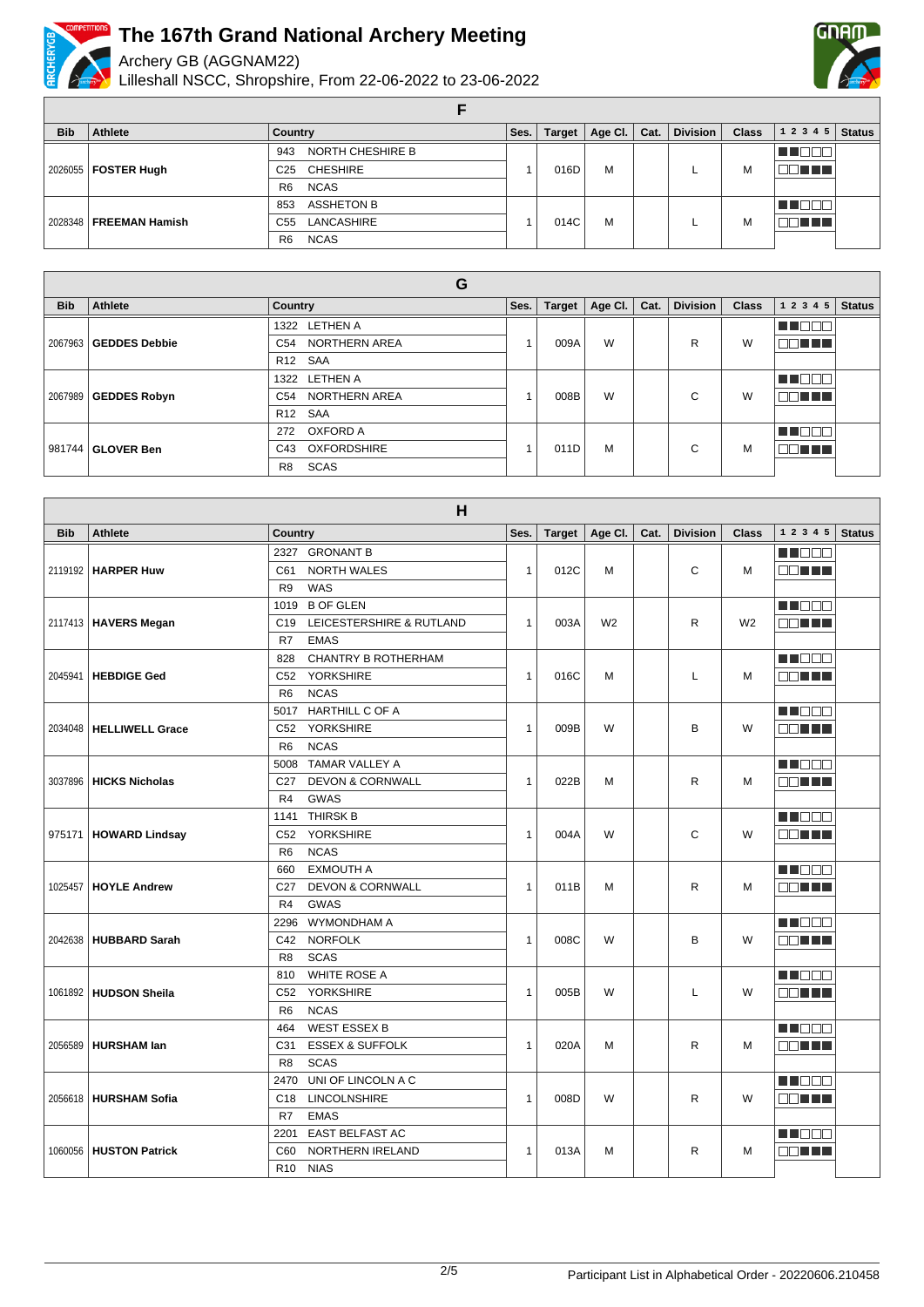

Archery GB (AGGNAM22)

Lilleshall NSCC, Shropshire, From 22-06-2022 to 23-06-2022



**F**

| <b>Bib</b> | Athlete                                     | Country                            | Ses. | Target | Age Cl. $\vert$ | Cat. | <b>Division</b> | <b>Class</b> | 12345  | <b>Status</b> |
|------------|---------------------------------------------|------------------------------------|------|--------|-----------------|------|-----------------|--------------|--------|---------------|
|            |                                             | NORTH CHESHIRE B<br>943            |      |        |                 |      |                 |              |        |               |
|            | 2026055   FOSTER Hugh                       | <b>CHESHIRE</b><br>C <sub>25</sub> |      | 016D   | M               |      |                 | м            | TN TH  |               |
|            |                                             | <b>NCAS</b><br>R <sub>6</sub>      |      |        |                 |      |                 |              |        |               |
|            |                                             | <b>ASSHETON B</b><br>853           |      |        |                 |      |                 |              | TEEE   |               |
|            | 2028348   FREEMAN Hamish<br>C <sub>55</sub> | LANCASHIRE                         |      | 014C   | M               |      |                 |              | 70 O O |               |
|            |                                             | <b>NCAS</b><br>R <sub>6</sub>      |      |        |                 |      |                 |              |        |               |

|            | G                              |                           |      |               |         |             |                 |              |           |               |  |  |
|------------|--------------------------------|---------------------------|------|---------------|---------|-------------|-----------------|--------------|-----------|---------------|--|--|
| <b>Bib</b> | Athlete                        | Country                   | Ses. | <b>Target</b> | Age Cl. | Cat.        | <b>Division</b> | <b>Class</b> | 1 2 3 4 5 | <b>Status</b> |  |  |
|            |                                | 1322 LETHEN A             |      |               |         |             |                 |              | M 80      |               |  |  |
|            | 2067963 <b>  GEDDES Debbie</b> | NORTHERN AREA<br>C54      |      | 009A          | W       |             | R               | W            | E E FIFIT |               |  |  |
|            |                                | R <sub>12</sub> SAA       |      |               |         |             |                 |              |           |               |  |  |
|            |                                | 1322 LETHEN A             |      |               |         |             |                 |              | Ш         |               |  |  |
|            | 2067989   GEDDES Robyn         | C54 NORTHERN AREA         |      | 008B          | W       |             | $\sim$<br>◡     | W            | TN TITLE  |               |  |  |
|            |                                | R <sub>12</sub> SAA       |      |               |         |             |                 |              |           |               |  |  |
|            |                                | OXFORD A<br>272           |      |               |         |             |                 |              | N O O     |               |  |  |
|            | 981744 <b>  GLOVER Ben</b>     | <b>OXFORDSHIRE</b><br>C43 |      | 011D          | M       | $\sim$<br>U |                 | M            | nn nn n   |               |  |  |
|            |                                | SCAS<br>R <sub>8</sub>    |      |               |         |             |                 |              |           |               |  |  |

|            |                           | H                                              |              |        |                |      |                 |                |              |               |
|------------|---------------------------|------------------------------------------------|--------------|--------|----------------|------|-----------------|----------------|--------------|---------------|
| <b>Bib</b> | <b>Athlete</b>            | Country                                        | Ses.         | Target | Age Cl.        | Cat. | <b>Division</b> | <b>Class</b>   | 1 2 3 4 5    | <b>Status</b> |
|            |                           | 2327 GRONANT B                                 |              |        |                |      |                 |                | N DE E       |               |
|            | 2119192   HARPER Huw      | <b>NORTH WALES</b><br>C61                      | $\mathbf{1}$ | 012C   | M              |      | $\mathsf{C}$    | M              | MA TITLE     |               |
|            |                           | WAS<br>R <sub>9</sub>                          |              |        |                |      |                 |                |              |               |
|            |                           | <b>B OF GLEN</b><br>1019                       |              |        |                |      |                 |                | <b>REDEE</b> |               |
|            | 2117413   HAVERS Megan    | LEICESTERSHIRE & RUTLAND<br>C <sub>19</sub>    | $\mathbf{1}$ | 003A   | W <sub>2</sub> |      | R               | W <sub>2</sub> | MA TITLE     |               |
|            |                           | <b>EMAS</b><br>R7                              |              |        |                |      |                 |                |              |               |
|            |                           | <b>CHANTRY B ROTHERHAM</b><br>828              |              |        |                |      |                 |                | M BEA        |               |
| 2045941    | <b>HEBDIGE Ged</b>        | <b>YORKSHIRE</b><br>C52                        | $\mathbf{1}$ | 016C   | M              |      | L               | M              | OO TITLE     |               |
|            |                           | <b>NCAS</b><br>R <sub>6</sub>                  |              |        |                |      |                 |                |              |               |
|            |                           | <b>HARTHILL C OF A</b><br>5017                 |              |        |                |      |                 |                | M NO 88      |               |
|            | 2034048   HELLIWELL Grace | <b>YORKSHIRE</b><br>C52                        | $\mathbf{1}$ | 009B   | W              |      | B               | W              | aa mar       |               |
|            |                           | <b>NCAS</b><br>R <sub>6</sub>                  |              |        |                |      |                 |                |              |               |
|            |                           | <b>TAMAR VALLEY A</b><br>5008                  |              |        |                |      |                 |                | M DE O       |               |
| 3037896    | <b>HICKS Nicholas</b>     | <b>DEVON &amp; CORNWALL</b><br>C <sub>27</sub> | $\mathbf{1}$ | 022B   | M              |      | R               | M              | a di Titolo  |               |
|            |                           | <b>GWAS</b><br>R <sub>4</sub>                  |              |        |                |      |                 |                |              |               |
|            |                           | <b>THIRSK B</b><br>1141                        |              |        |                |      |                 |                | M DE O       |               |
|            | 975171   HOWARD Lindsay   | <b>YORKSHIRE</b><br>C52                        | $\mathbf{1}$ | 004A   | W              |      | C               | W              | nn an L      |               |
|            |                           | <b>NCAS</b><br>R <sub>6</sub>                  |              |        |                |      |                 |                |              |               |
|            |                           | <b>EXMOUTH A</b><br>660                        |              |        |                |      |                 |                | M DE S       |               |
| 1025457    | <b>HOYLE Andrew</b>       | <b>DEVON &amp; CORNWALL</b><br>C <sub>27</sub> | $\mathbf{1}$ | 011B   | M              |      | R               | M              | 88 H H       |               |
|            |                           | <b>GWAS</b><br>R <sub>4</sub>                  |              |        |                |      |                 |                |              |               |
|            |                           | WYMONDHAM A<br>2296                            |              |        |                |      |                 |                | M BEA        |               |
|            | 2042638   HUBBARD Sarah   | <b>NORFOLK</b><br>C42                          | $\mathbf{1}$ | 008C   | W              |      | B               | W              | an Tim       |               |
|            |                           | <b>SCAS</b><br>R <sub>8</sub>                  |              |        |                |      |                 |                |              |               |
|            |                           | <b>WHITE ROSE A</b><br>810                     |              |        |                |      |                 |                | M DE S       |               |
|            | 1061892 HUDSON Sheila     | <b>YORKSHIRE</b><br>C <sub>52</sub>            | $\mathbf{1}$ | 005B   | W              |      | L               | W              | N N N N N    |               |
|            |                           | <b>NCAS</b><br>R <sub>6</sub>                  |              |        |                |      |                 |                |              |               |
|            |                           | <b>WEST ESSEX B</b><br>464                     |              |        |                |      |                 |                | N NOOO       |               |
|            | 2056589   HURSHAM lan     | <b>ESSEX &amp; SUFFOLK</b><br>C31              | $\mathbf{1}$ | 020A   | M              |      | R               | M              | MA TILLI     |               |
|            |                           | <b>SCAS</b><br>R <sub>8</sub>                  |              |        |                |      |                 |                |              |               |
|            |                           | UNI OF LINCOLN A C<br>2470                     |              |        |                |      |                 |                | M BER        |               |
|            | 2056618   HURSHAM Sofia   | <b>LINCOLNSHIRE</b><br>C <sub>18</sub>         | $\mathbf{1}$ | 008D   | W              |      | R               | W              | 88 H H       |               |
|            |                           | <b>EMAS</b><br>R7                              |              |        |                |      |                 |                |              |               |
|            |                           | EAST BELFAST AC<br>2201                        |              |        |                |      |                 |                | Martin Ball  |               |
|            | 1060056   HUSTON Patrick  | NORTHERN IRELAND<br>C60                        | $\mathbf{1}$ | 013A   | м              |      | R               | м              | man di T     |               |
|            |                           | <b>NIAS</b><br>R <sub>10</sub>                 |              |        |                |      |                 |                |              |               |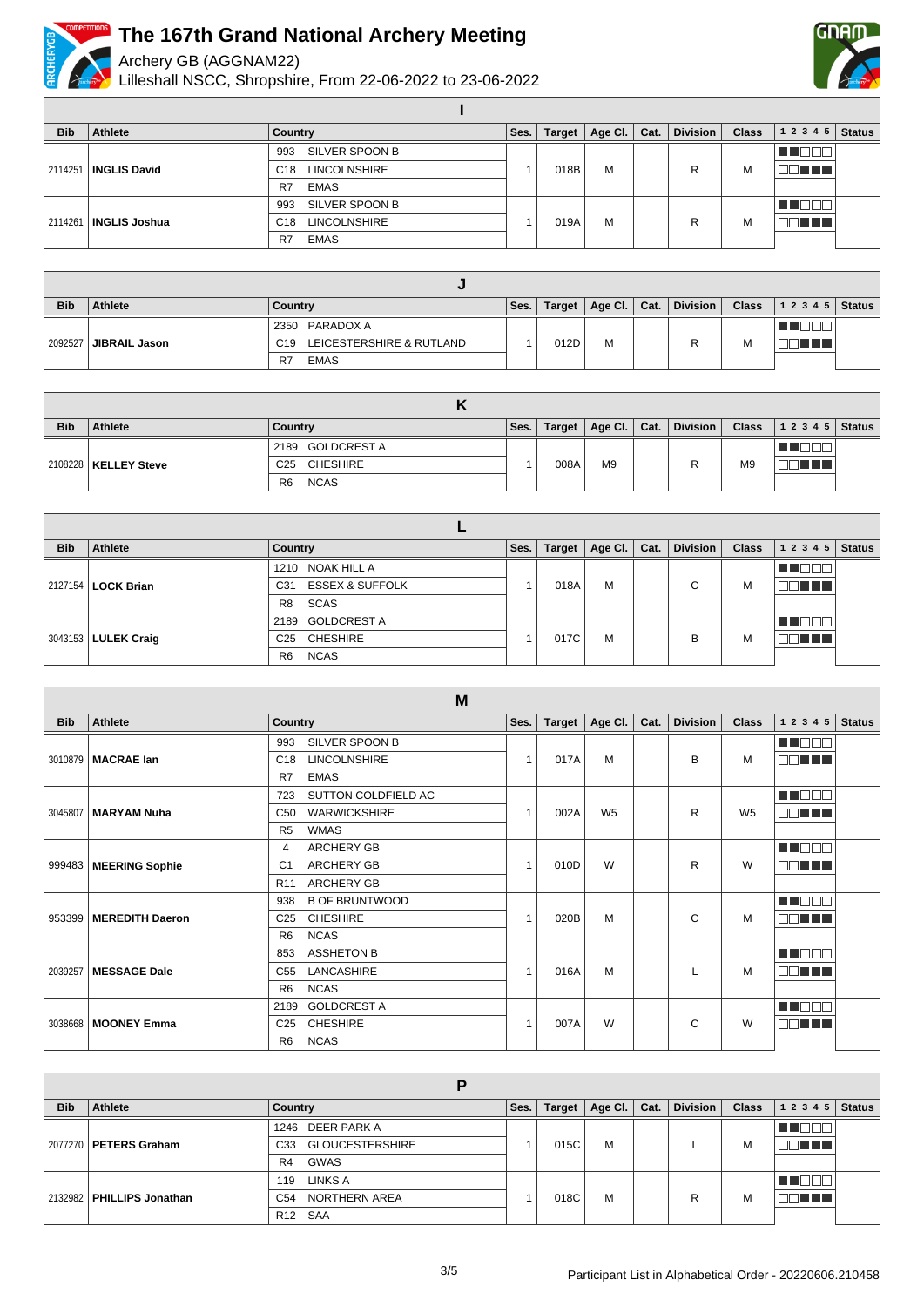

Archery GB (AGGNAM22)

Lilleshall NSCC, Shropshire, From 22-06-2022 to 23-06-2022



| <b>Bib</b> | Athlete              | Country                                | Ses.      | <b>Target</b> | Age Cl. | Cat. | <b>Division</b> | <b>Class</b> | 12345   | <b>Status</b> |
|------------|----------------------|----------------------------------------|-----------|---------------|---------|------|-----------------|--------------|---------|---------------|
|            |                      | SILVER SPOON B<br>993                  |           |               |         |      |                 |              |         |               |
| 2114251    | <b>INGLIS David</b>  | <b>LINCOLNSHIRE</b><br>C <sub>18</sub> |           | 018B          | M       |      |                 | M            | 7 F F F |               |
|            |                      | EMAS<br>R7                             |           |               |         |      |                 |              |         |               |
|            |                      | SILVER SPOON B<br>993                  |           |               |         |      |                 |              | .       |               |
| 2114261    | <b>INGLIS Joshua</b> | <b>LINCOLNSHIRE</b><br>C <sub>18</sub> | M<br>019A |               |         | M    | TI TITLE        |              |         |               |
|            |                      | <b>EMAS</b><br>R7                      |           |               |         |      |                 |              |         |               |

**I**

| <b>Bib</b> | <b>Athlete</b>               | Country                       | Ses. | Target | Age Cl. $\vert$ Cat. | <b>Division</b> | <b>Class</b> | 1 2 3 4 5   Status |  |
|------------|------------------------------|-------------------------------|------|--------|----------------------|-----------------|--------------|--------------------|--|
|            |                              | 2350 PARADOX A                |      |        |                      |                 |              |                    |  |
|            | 2092527 <b>JIBRAIL Jason</b> | C19 LEICESTERSHIRE & RUTLAND  |      | 012D   | M                    |                 | M            | T                  |  |
|            |                              | <b>EMAS</b><br>R <sub>7</sub> |      |        |                      |                 |              |                    |  |

| <b>Bib</b> | <b>Athlete</b>         | Country                       | Ses. | Target | $\vert$ Age Cl. $\vert$ Cat. | Division |                | Class $\vert$ 1 2 3 4 5 Status |  |
|------------|------------------------|-------------------------------|------|--------|------------------------------|----------|----------------|--------------------------------|--|
|            |                        | 2189 GOLDCREST A              |      |        |                              |          |                |                                |  |
|            | 2108228   KELLEY Steve | C25 CHESHIRE                  |      | 008A   | M <sub>9</sub>               |          | M <sub>9</sub> | a di Ba                        |  |
|            |                        | <b>NCAS</b><br>R <sub>6</sub> |      |        |                              |          |                |                                |  |

| <b>Bib</b> | Athlete                     | Country                                       | Ses. | <b>Target</b> | Age Cl. | Cat. | <b>Division</b> | <b>Class</b> | 1 2 3 4 5 | <b>Status</b> |
|------------|-----------------------------|-----------------------------------------------|------|---------------|---------|------|-----------------|--------------|-----------|---------------|
|            |                             | NOAK HILL A<br>1210                           |      |               |         |      |                 |              |           |               |
|            | 2127154   <b>LOCK Brian</b> | <b>ESSEX &amp; SUFFOLK</b><br>C <sub>31</sub> |      | 018A          | M       |      | ⌒<br>U          | M            | T FIFT    |               |
|            |                             | SCAS<br>R8                                    |      |               |         |      |                 |              |           |               |
|            |                             | 2189 GOLDCREST A                              |      |               |         |      |                 |              |           |               |
|            | 3043153   LULEK Craig       | C25 CHESHIRE                                  |      | 017C          | M       |      | в               | M            | nn nn n   |               |
|            |                             | <b>NCAS</b><br>R <sub>6</sub>                 |      |               |         |      |                 |              |           |               |

|            | M                        |                                        |                |               |                |      |                 |                |           |               |  |  |
|------------|--------------------------|----------------------------------------|----------------|---------------|----------------|------|-----------------|----------------|-----------|---------------|--|--|
| <b>Bib</b> | Athlete                  | <b>Country</b>                         | Ses.           | <b>Target</b> | Age Cl.        | Cat. | <b>Division</b> | <b>Class</b>   | 1 2 3 4 5 | <b>Status</b> |  |  |
|            |                          | SILVER SPOON B<br>993                  |                |               | M              |      | B               |                | M DOI     |               |  |  |
|            | 3010879   MACRAE Ian     | <b>LINCOLNSHIRE</b><br>C <sub>18</sub> | $\overline{1}$ | 017A          |                |      |                 | M              | nn ni n   |               |  |  |
|            |                          | <b>EMAS</b><br>R7                      |                |               |                |      |                 |                |           |               |  |  |
|            |                          | SUTTON COLDFIELD AC<br>723             |                |               |                |      |                 |                | M NOOC    |               |  |  |
|            | 3045807   MARYAM Nuha    | <b>WARWICKSHIRE</b><br>C <sub>50</sub> | $\overline{1}$ | 002A          | W <sub>5</sub> |      | R               | W <sub>5</sub> | OO TITIN  |               |  |  |
|            |                          | WMAS<br>R <sub>5</sub>                 |                |               |                |      |                 |                |           |               |  |  |
|            |                          | <b>ARCHERY GB</b><br>4                 | 1              |               |                |      |                 |                | MA MARI   |               |  |  |
|            | 999483   MEERING Sophie  | <b>ARCHERY GB</b><br>C <sub>1</sub>    |                | 010D          | W              |      | R               | W              | 39 N N 7  |               |  |  |
|            |                          | <b>ARCHERY GB</b><br>R <sub>11</sub>   |                |               |                |      |                 |                |           |               |  |  |
|            | 953399   MEREDITH Daeron | <b>B OF BRUNTWOOD</b><br>938           | $\overline{1}$ | 020B          |                |      |                 |                | MA MARI   |               |  |  |
|            |                          | <b>CHESHIRE</b><br>C <sub>25</sub>     |                |               | M              |      | C               | M              | OO TITL   |               |  |  |
|            |                          | <b>NCAS</b><br>R <sub>6</sub>          |                |               |                |      |                 |                |           |               |  |  |
|            |                          | <b>ASSHETON B</b><br>853               |                |               |                |      |                 |                | n na na n |               |  |  |
|            | 2039257   MESSAGE Dale   | LANCASHIRE<br>C <sub>55</sub>          | 1              | 016A          | M              |      |                 | M              | MAN TIT   |               |  |  |
|            |                          | <b>NCAS</b><br>R <sub>6</sub>          |                |               |                |      |                 |                |           |               |  |  |
|            |                          | <b>GOLDCREST A</b><br>2189             |                |               |                |      |                 |                | M DE S    |               |  |  |
|            | 3038668   MOONEY Emma    | <b>CHESHIRE</b><br>C <sub>25</sub>     |                | 007A          | W              |      | C               | W              | OO TITLE  |               |  |  |
|            |                          | <b>NCAS</b><br>R <sub>6</sub>          |                |               |                |      |                 |                |           |               |  |  |

| <b>Bib</b> | Athlete                     | Country                          | Ses. | Target | Age CI. | Cat. | <b>Division</b> | <b>Class</b> | 1 2 3 4 5  | <b>Status</b> |
|------------|-----------------------------|----------------------------------|------|--------|---------|------|-----------------|--------------|------------|---------------|
|            |                             | 1246 DEER PARK A                 |      |        |         |      |                 |              | TO         |               |
|            | 2077270   PETERS Graham     | <b>GLOUCESTERSHIRE</b><br>C33    |      | 015C   | M       |      |                 | M            | TELELLER S |               |
|            |                             | GWAS<br>R4                       |      |        |         |      |                 |              |            |               |
|            | 2132982   PHILLIPS Jonathan | LINKS A<br>119                   |      |        |         |      |                 | M            | - El       |               |
|            |                             | NORTHERN AREA<br>C <sub>54</sub> |      | 018C   | M       |      | R               |              | 1 H H H H  |               |
|            |                             | R <sub>12</sub> SAA              |      |        |         |      |                 |              |            |               |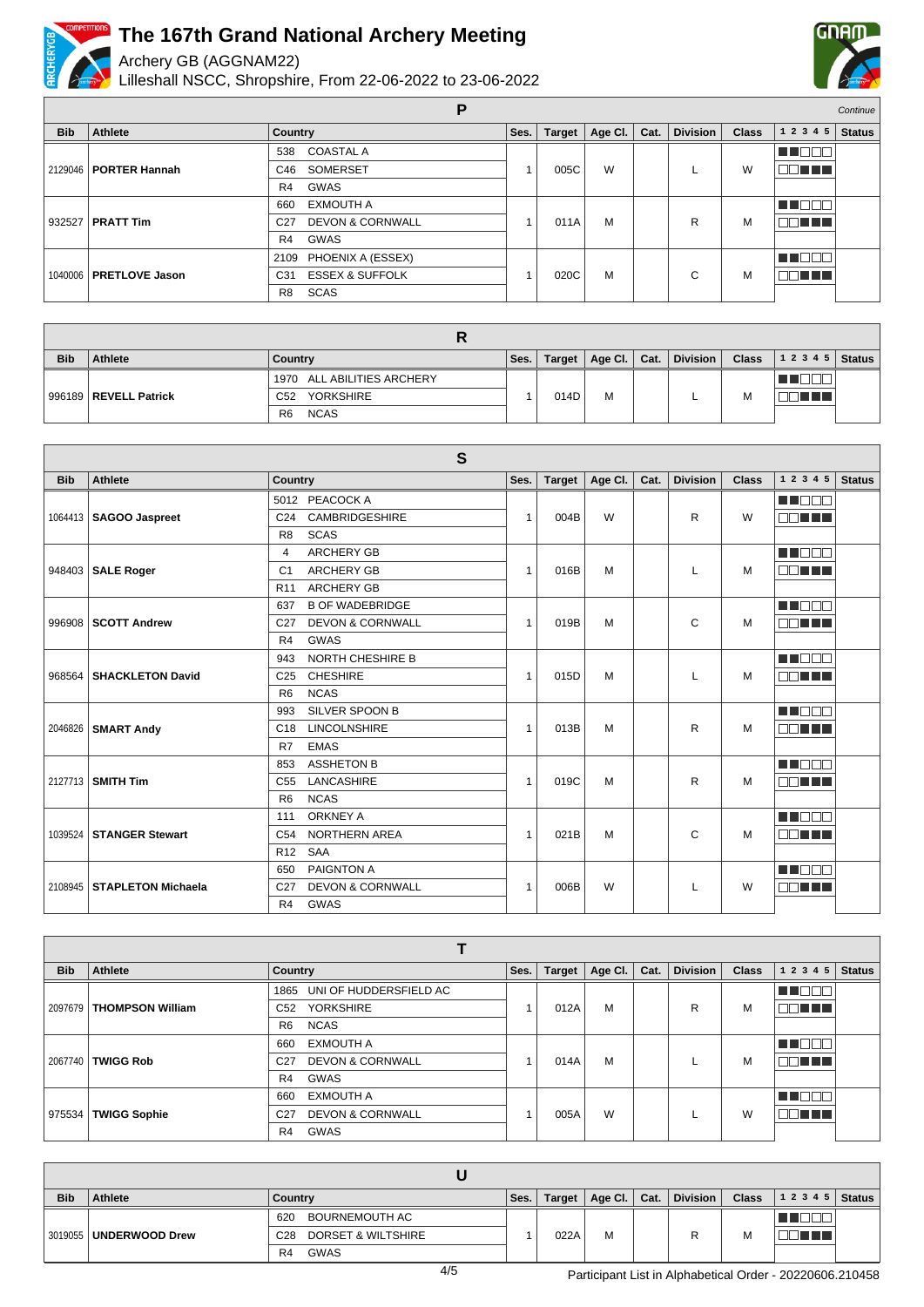

Archery GB (AGGNAM22)

Lilleshall NSCC, Shropshire, From 22-06-2022 to 23-06-2022



| Continue<br>E |                          |                                                |      |               |         |      |                 |              |           |               |  |
|---------------|--------------------------|------------------------------------------------|------|---------------|---------|------|-----------------|--------------|-----------|---------------|--|
| <b>Bib</b>    | Athlete                  | <b>Country</b>                                 | Ses. | <b>Target</b> | Age Cl. | Cat. | <b>Division</b> | <b>Class</b> | 1 2 3 4 5 | <b>Status</b> |  |
|               |                          | <b>COASTAL A</b><br>538                        |      | 005C          |         |      |                 |              | N E E E L |               |  |
|               | 2129046   PORTER Hannah  | SOMERSET<br>C46                                |      |               | W       |      |                 | W            | 80 T T T  |               |  |
|               |                          | GWAS<br>R4                                     |      |               |         |      |                 |              |           |               |  |
|               | 932527   PRATT Tim       | <b>EXMOUTH A</b><br>660                        |      |               |         |      |                 | M            | T FF      |               |  |
|               |                          | <b>DEVON &amp; CORNWALL</b><br>C <sub>27</sub> |      | 011A          | M       |      | R               |              | DE E E E  |               |  |
|               |                          | GWAS<br>R4                                     |      |               |         |      |                 |              |           |               |  |
|               | 1040006   PRETLOVE Jason | PHOENIX A (ESSEX)<br>2109                      |      |               |         |      |                 | M            | u mener   |               |  |
|               |                          | <b>ESSEX &amp; SUFFOLK</b><br>C <sub>31</sub>  |      | 020C          | M       |      | C               |              | 30 H T    |               |  |
|               |                          | <b>SCAS</b><br>R <sub>8</sub>                  |      |               |         |      |                 |              |           |               |  |

| <b>Bib</b> | Athlete               | Country                       | Ses. | Target | Age Cl. $\vert$ Cat. |  | <b>Division</b> | <b>Class</b> | $12345$ Status |  |  |  |
|------------|-----------------------|-------------------------------|------|--------|----------------------|--|-----------------|--------------|----------------|--|--|--|
|            | 996189 REVELL Patrick | 1970 ALL ABILITIES ARCHERY    |      |        |                      |  |                 |              |                |  |  |  |
|            |                       | <b>YORKSHIRE</b><br>C52       |      | 014D   | M                    |  |                 | М            |                |  |  |  |
|            |                       | <b>NCAS</b><br>R <sub>6</sub> |      |        |                      |  |                 |              |                |  |  |  |

| S          |                            |                                                |                |               |         |      |                 |              |                        |               |
|------------|----------------------------|------------------------------------------------|----------------|---------------|---------|------|-----------------|--------------|------------------------|---------------|
| <b>Bib</b> | Athlete                    | Country                                        | Ses.           | <b>Target</b> | Age Cl. | Cat. | <b>Division</b> | <b>Class</b> | 1 2 3 4 5              | <b>Status</b> |
|            |                            | 5012 PEACOCK A                                 |                |               |         |      |                 |              | n no o o               |               |
| 1064413    | <b>SAGOO Jaspreet</b>      | <b>CAMBRIDGESHIRE</b><br>C <sub>24</sub>       | 1              | 004B          | W       |      | R               | W            | 70 O O                 |               |
|            |                            | <b>SCAS</b><br>R <sub>8</sub>                  |                |               |         |      |                 |              |                        |               |
|            |                            | <b>ARCHERY GB</b><br>4                         |                |               |         |      |                 |              | MA DI DI T             |               |
|            | 948403   SALE Roger        | <b>ARCHERY GB</b><br>C <sub>1</sub>            | 1              | 016B          | M       |      |                 | м            | MA TITLE               |               |
|            |                            | <b>ARCHERY GB</b><br>R <sub>11</sub>           |                |               |         |      |                 |              |                        |               |
|            |                            | <b>B OF WADEBRIDGE</b><br>637                  |                |               |         |      |                 |              | <b>RICH AND THE RE</b> |               |
|            | 996908   SCOTT Andrew      | <b>DEVON &amp; CORNWALL</b><br>C <sub>27</sub> | 1              | 019B          | M       |      | C               | M            | ПI<br>TI TITLE         |               |
|            |                            | <b>GWAS</b><br>R <sub>4</sub>                  |                |               |         |      |                 |              |                        |               |
|            |                            | <b>NORTH CHESHIRE B</b><br>943                 | 1              |               |         |      |                 |              | M DEN                  |               |
|            | 968564 SHACKLETON David    | <b>CHESHIRE</b><br>C <sub>25</sub>             |                | 015D          | M       |      |                 | м            | mm mm m                |               |
|            |                            | <b>NCAS</b><br>R <sub>6</sub>                  |                |               |         |      |                 |              |                        |               |
|            | 2046826   SMART Andy       | SILVER SPOON B<br>993                          | 1              | 013B          |         |      |                 |              | a a mata               |               |
|            |                            | <b>LINCOLNSHIRE</b><br>C <sub>18</sub>         |                |               | M       |      | R               | M            | man ma                 |               |
|            |                            | <b>EMAS</b><br>R7                              |                |               |         |      |                 |              |                        |               |
|            |                            | <b>ASSHETON B</b><br>853                       |                |               |         |      |                 |              | n na m                 |               |
|            | 2127713 SMITH Tim          | LANCASHIRE<br>C <sub>55</sub>                  | 1              | 019C          | M       |      | R               | M            | MAN TIN                |               |
|            |                            | <b>NCAS</b><br>R <sub>6</sub>                  |                |               |         |      |                 |              |                        |               |
|            |                            | <b>ORKNEY A</b><br>111                         |                |               |         |      |                 |              | n na na n              |               |
|            | 1039524 STANGER Stewart    | <b>NORTHERN AREA</b><br>C <sub>54</sub>        | 1              | 021B          | M       |      | C               | M            | nn nn a                |               |
|            |                            | R <sub>12</sub><br><b>SAA</b>                  |                |               |         |      |                 |              |                        |               |
|            |                            | PAIGNTON A<br>650                              |                |               |         |      |                 |              | n de c                 |               |
|            | 2108945 STAPLETON Michaela | <b>DEVON &amp; CORNWALL</b><br>C <sub>27</sub> | $\overline{1}$ | 006B          | W       |      |                 | W            | 70 O O                 |               |
|            |                            | GWAS<br>R <sub>4</sub>                         |                |               |         |      |                 |              |                        |               |

| <b>Bib</b> | Athlete                 | <b>Country</b>                                 | Ses. | <b>Target</b> | Age Cl. | Cat. | <b>Division</b> | <b>Class</b> | 1 2 3 4 5     | <b>Status</b> |  |
|------------|-------------------------|------------------------------------------------|------|---------------|---------|------|-----------------|--------------|---------------|---------------|--|
|            |                         | UNI OF HUDDERSFIELD AC<br>1865                 |      | 012A          |         |      |                 |              | NN O BIB      |               |  |
| 2097679    | <b>THOMPSON William</b> | <b>YORKSHIRE</b><br>C52                        |      |               | M       |      | R               | М            | 70 I I        |               |  |
|            |                         | <b>NCAS</b><br>R <sub>6</sub>                  |      |               |         |      |                 |              |               |               |  |
|            | <b>TWIGG Rob</b>        | <b>EXMOUTH A</b><br>660                        |      |               |         |      |                 |              | MA BER        |               |  |
| 2067740    |                         | <b>DEVON &amp; CORNWALL</b><br>C <sub>27</sub> |      | 014A          | M       |      |                 | М            | . 88 <b>.</b> |               |  |
|            |                         | GWAS<br>R4                                     |      |               |         |      |                 |              |               |               |  |
|            |                         | <b>EXMOUTH A</b><br>660                        |      |               |         |      |                 |              | TENN          |               |  |
| 975534     | <b>TWIGG Sophie</b>     | <b>DEVON &amp; CORNWALL</b><br>C <sub>27</sub> |      | 005A          | W       |      |                 | W            | nn i Ti       |               |  |
|            |                         | GWAS<br>R <sub>4</sub>                         |      |               |         |      |                 |              |               |               |  |

| <b>Bib</b> | Athlete                  | Country                                          | Ses. | Target | $ $ Age Cl. $ $ Cat. |  | <b>Division</b> | <b>Class</b> | $12345$ Status |  |  |  |
|------------|--------------------------|--------------------------------------------------|------|--------|----------------------|--|-----------------|--------------|----------------|--|--|--|
|            | 3019055   UNDERWOOD Drew | BOURNEMOUTH AC<br>620                            |      |        |                      |  | R               |              |                |  |  |  |
|            |                          | <b>DORSET &amp; WILTSHIRE</b><br>C <sub>28</sub> |      | 022A   | М                    |  |                 | м            |                |  |  |  |
|            |                          | GWAS<br>R <sub>4</sub>                           |      |        |                      |  |                 |              |                |  |  |  |